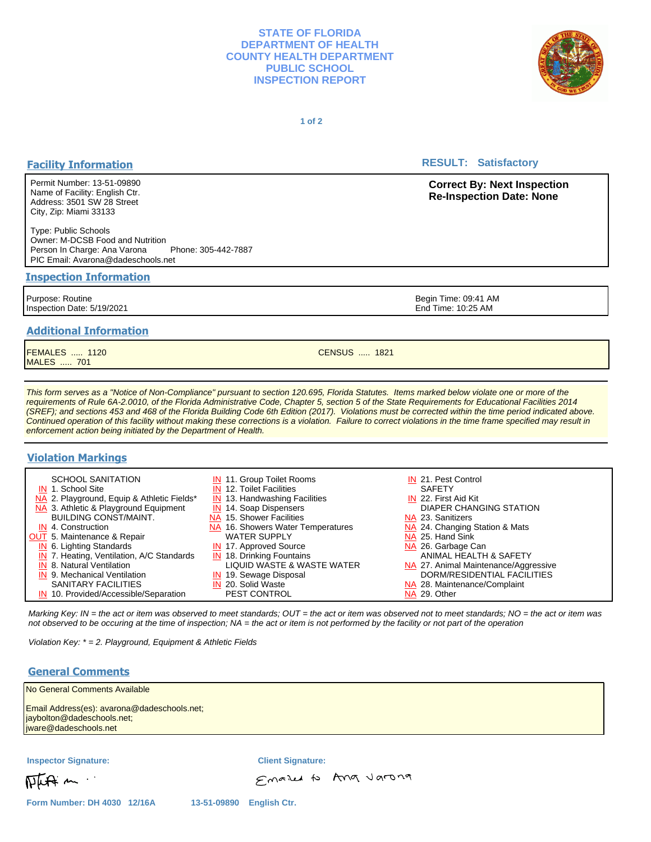## **STATE OF FLORIDA DEPARTMENT OF HEALTH COUNTY HEALTH DEPARTMENT PUBLIC SCHOOL INSPECTION REPORT**



**1 of 2**

# **Facility Information**

Permit Number: 13-51-09890 Name of Facility: English Ctr. Address: 3501 SW 28 Street City, Zip: Miami 33133

Type: Public Schools Owner: M-DCSB Food and Nutrition Person In Charge: Ana Varona Phone: 305-442-7887 PIC Email: Avarona@dadeschools.net

#### **Inspection Information**

Purpose: Routine Inspection Date: 5/19/2021

# **Additional Information**

FEMALES ..... 1120 MALES ..... 701

This form serves as a "Notice of Non-Compliance" pursuant to section 120.695, Florida Statutes. Items marked below violate one or more of the requirements of Rule 6A-2.0010, of the Florida Administrative Code, Chapter 5, section 5 of the State Requirements for Educational Facilities 2014 (SREF); and sections 453 and 468 of the Florida Building Code 6th Edition (2017). Violations must be corrected within the time period indicated above. Continued operation of this facility without making these corrections is a violation. Failure to correct violations in the time frame specified may result in enforcement action being initiated by the Department of Health.

# **Violation Markings**

| <b>SCHOOL SANITATION</b>                    | <b>IN</b> 11. Group Toilet Rooms         | IN 21. Pest Control                  |
|---------------------------------------------|------------------------------------------|--------------------------------------|
| IN 1. School Site                           | <b>IN</b> 12. Toilet Facilities          | <b>SAFETY</b>                        |
| NA 2. Playground, Equip & Athletic Fields*  | <b>IN</b> 13. Handwashing Facilities     | IN 22. First Aid Kit                 |
| NA 3. Athletic & Playground Equipment       | <b>IN</b> 14. Soap Dispensers            | DIAPER CHANGING STATION              |
| <b>BUILDING CONST/MAINT.</b>                | NA 15. Shower Facilities                 | NA 23. Sanitizers                    |
| IN 4. Construction                          | <b>NA</b> 16. Showers Water Temperatures | NA 24. Changing Station & Mats       |
| OUT 5. Maintenance & Repair                 | <b>WATER SUPPLY</b>                      | NA 25. Hand Sink                     |
| IN 6. Lighting Standards                    | <b>IN</b> 17. Approved Source            | NA 26. Garbage Can                   |
| $IN$ 7. Heating, Ventilation, A/C Standards | $IN$ 18. Drinking Fountains              | ANIMAL HEALTH & SAFETY               |
| <b>IN</b> 8. Natural Ventilation            | LIQUID WASTE & WASTE WATER               | NA 27. Animal Maintenance/Aggressive |
| <b>IN</b> 9. Mechanical Ventilation         | IN 19. Sewage Disposal                   | DORM/RESIDENTIAL FACILITIES          |
| <b>SANITARY FACILITIES</b>                  | IN 20. Solid Waste                       | NA 28. Maintenance/Complaint         |
| IN 10. Provided/Accessible/Separation       | <b>PEST CONTROL</b>                      | NA 29. Other                         |

Marking Key: IN = the act or item was observed to meet standards; OUT = the act or item was observed not to meet standards; NO = the act or item was not observed to be occuring at the time of inspection; NA = the act or item is not performed by the facility or not part of the operation

Violation Key: \* = 2. Playground, Equipment & Athletic Fields

# **General Comments**

| No General Comments Available                                                                      |                          |  |
|----------------------------------------------------------------------------------------------------|--------------------------|--|
| Email Address(es): avarona@dadeschools.net;<br>jaybolton@dadeschools.net;<br>jware@dadeschools.net |                          |  |
| <b>Inspector Signature:</b>                                                                        | <b>Client Signature:</b> |  |
| Photo m                                                                                            | Emazed to Ang Jarong     |  |

**RESULT: Satisfactory** 

**Correct By: Next Inspection Re-Inspection Date: None**

Begin Time: 09:41 AM End Time: 10:25 AM

CENSUS ..... 1821

**Form Number: DH 4030 12/16A 13-51-09890 English Ctr.**